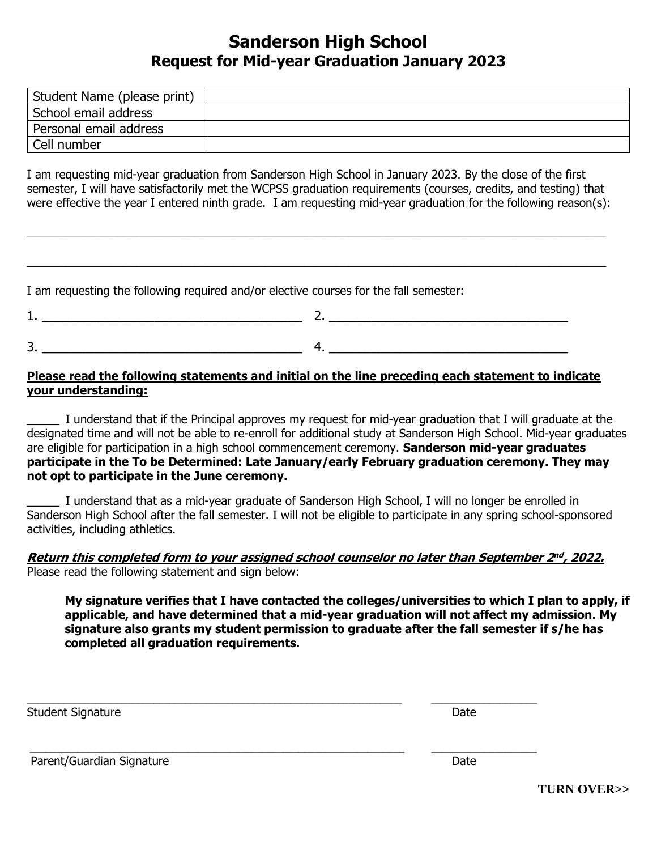# **Sanderson High School Request for Mid-year Graduation January 2023**

| Student Name (please print) |  |
|-----------------------------|--|
| School email address        |  |
| Personal email address      |  |
| Cell number                 |  |

I am requesting mid-year graduation from Sanderson High School in January 2023. By the close of the first semester, I will have satisfactorily met the WCPSS graduation requirements (courses, credits, and testing) that were effective the year I entered ninth grade. I am requesting mid-year graduation for the following reason(s):

\_\_\_\_\_\_\_\_\_\_\_\_\_\_\_\_\_\_\_\_\_\_\_\_\_\_\_\_\_\_\_\_\_\_\_\_\_\_\_\_\_\_\_\_\_\_\_\_\_\_\_\_\_\_\_\_\_\_\_\_\_\_\_\_\_\_\_\_\_\_\_\_\_\_\_\_\_\_\_\_\_\_\_\_\_\_\_\_\_\_

\_\_\_\_\_\_\_\_\_\_\_\_\_\_\_\_\_\_\_\_\_\_\_\_\_\_\_\_\_\_\_\_\_\_\_\_\_\_\_\_\_\_\_\_\_\_\_\_\_\_\_\_\_\_\_\_\_\_\_\_\_\_\_\_\_\_\_\_\_\_\_\_\_\_\_\_\_\_\_\_\_\_\_\_\_\_\_\_\_\_

I am requesting the following required and/or elective courses for the fall semester:

| -      |  |
|--------|--|
|        |  |
| -<br>◡ |  |

### **Please read the following statements and initial on the line preceding each statement to indicate your understanding:**

I understand that if the Principal approves my request for mid-year graduation that I will graduate at the designated time and will not be able to re-enroll for additional study at Sanderson High School. Mid-year graduates are eligible for participation in a high school commencement ceremony. **Sanderson mid-year graduates participate in the To be Determined: Late January/early February graduation ceremony. They may not opt to participate in the June ceremony.** 

\_\_\_\_\_ I understand that as a mid-year graduate of Sanderson High School, I will no longer be enrolled in Sanderson High School after the fall semester. I will not be eligible to participate in any spring school-sponsored activities, including athletics.

#### **Return this completed form to your assigned school counselor no later than September 2 nd , 2022.** Please read the following statement and sign below:

\_\_\_\_\_\_\_\_\_\_\_\_\_\_\_\_\_\_\_\_\_\_\_\_\_\_\_\_\_\_\_\_\_\_\_\_\_\_\_\_\_\_\_\_\_\_\_\_\_\_\_\_\_\_\_\_\_\_\_\_\_\_\_\_\_\_\_\_\_\_\_ \_\_\_\_\_\_\_\_\_\_\_\_\_\_\_\_\_\_\_\_

\_\_\_\_\_\_\_\_\_\_\_\_\_\_\_\_\_\_\_\_\_\_\_\_\_\_\_\_\_\_\_\_\_\_\_\_\_\_\_\_\_\_\_\_\_\_\_\_\_\_\_\_\_\_\_\_\_\_\_\_\_\_\_\_\_\_\_\_\_\_\_ \_\_\_\_\_\_\_\_\_\_\_\_\_\_\_\_\_\_\_\_

**My signature verifies that I have contacted the colleges/universities to which I plan to apply, if applicable, and have determined that a mid-year graduation will not affect my admission. My signature also grants my student permission to graduate after the fall semester if s/he has completed all graduation requirements.**

Student Signature **Date** 

Parent/Guardian Signature Date Date Date